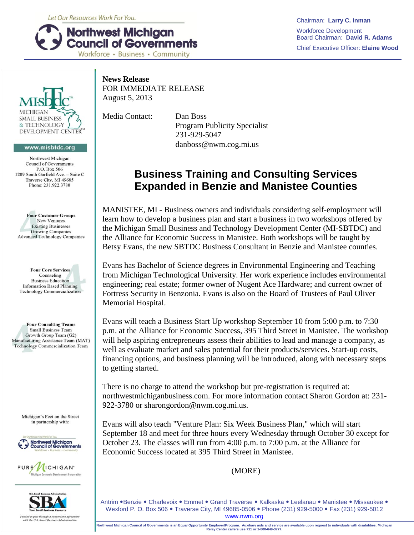Let Our Resources Work For You.



Chairman: **Larry C. Inman** Workforce Development Board Chairman: **David R. Adams** Chief Executive Officer: **Elaine Wood**



## www.misbtdc.org

Northwest Michigan **Council of Governments** P.O. Box 506 1209 South Garfield Ave. - Suite C Traverse City, MI 49685 Phone: 231.922.3780



**Four Core Services** Counseling **Business Education Information Based Planning Technology Commercialization** 

**Four Consulting Teams Small Business Team** Growth Group Team (G2) Manufacturing Assistance Team (MAT) Technology Commercialization Team

> Michigan's Feet on the Street in partnership with:







**News Release** FOR IMMEDIATE RELEASE August 5, 2013

Media Contact: Dan Boss Program Publicity Specialist 231-929-5047 danboss@nwm.cog.mi.us

## **Business Training and Consulting Services Expanded in Benzie and Manistee Counties**

MANISTEE, MI **-** Business owners and individuals considering self-employment will learn how to develop a business plan and start a business in two workshops offered by the Michigan Small Business and Technology Development Center (MI-SBTDC) and the Alliance for Economic Success in Manistee. Both workshops will be taught by Betsy Evans, the new SBTDC Business Consultant in Benzie and Manistee counties.

Evans has Bachelor of Science degrees in Environmental Engineering and Teaching from Michigan Technological University. Her work experience includes environmental engineering; real estate; former owner of Nugent Ace Hardware; and current owner of Fortress Security in Benzonia. Evans is also on the Board of Trustees of Paul Oliver Memorial Hospital.

Evans will teach a Business Start Up workshop September 10 from 5:00 p.m. to 7:30 p.m. at the Alliance for Economic Success, 395 Third Street in Manistee. The workshop will help aspiring entrepreneurs assess their abilities to lead and manage a company, as well as evaluate market and sales potential for their products/services. Start-up costs, financing options, and business planning will be introduced, along with necessary steps to getting started.

There is no charge to attend the workshop but pre-registration is required at: northwestmichiganbusiness.com. For more information contact Sharon Gordon at: 231- 922-3780 or sharongordon@nwm.cog.mi.us.

Evans will also teach "Venture Plan: Six Week Business Plan," which will start September 18 and meet for three hours every Wednesday through October 30 except for October 23. The classes will run from 4:00 p.m. to 7:00 p.m. at the Alliance for Economic Success located at 395 Third Street in Manistee.

(MORE)

Antrim . Benzie . Charlevoix . Emmet . Grand Traverse . Kalkaska . Leelanau . Manistee . Missaukee . Wexford P. O. Box 506 . Traverse City, MI 49685-0506 . Phone (231) 929-5000 . Fax (231) 929-5012 www.nwm.org

**Northwest Michigan Council of Governments is an Equal Opportunity Employer/Program. Auxiliary aids and service are available upon request to individuals with disabilities. Michigan Relay Center callers use 711 or 1-800-649-3777.**